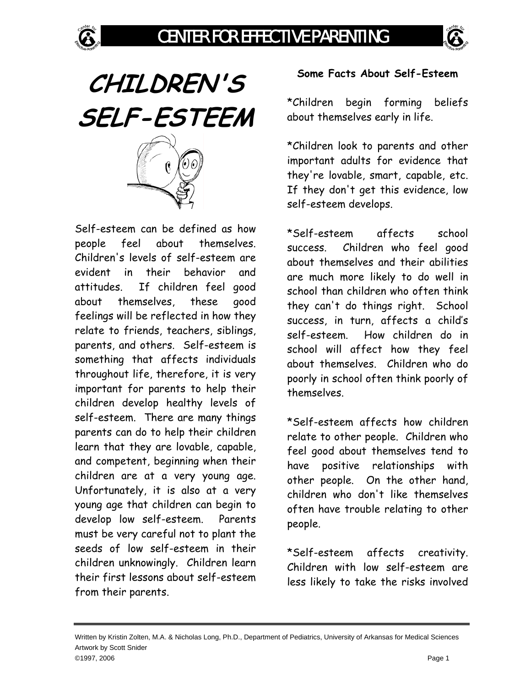





Self-esteem can be defined as how people feel about themselves. Children's levels of self-esteem are evident in their behavior and attitudes. If children feel good about themselves, these good feelings will be reflected in how they relate to friends, teachers, siblings, parents, and others. Self-esteem is something that affects individuals throughout life, therefore, it is very important for parents to help their children develop healthy levels of self-esteem. There are many things parents can do to help their children learn that they are lovable, capable, and competent, beginning when their children are at a very young age. Unfortunately, it is also at a very young age that children can begin to develop low self-esteem. Parents must be very careful not to plant the seeds of low self-esteem in their children unknowingly. Children learn their first lessons about self-esteem from their parents.

## **Some Facts About Self-Esteem**

\*Children begin forming beliefs about themselves early in life.

\*Children look to parents and other important adults for evidence that they're lovable, smart, capable, etc. If they don't get this evidence, low self-esteem develops.

\*Self-esteem affects school success. Children who feel good about themselves and their abilities are much more likely to do well in school than children who often think they can't do things right. School success, in turn, affects a child's self-esteem. How children do in school will affect how they feel about themselves. Children who do poorly in school often think poorly of themselves.

\*Self-esteem affects how children relate to other people. Children who feel good about themselves tend to have positive relationships with other people. On the other hand, children who don't like themselves often have trouble relating to other people.

\*Self-esteem affects creativity. Children with low self-esteem are less likely to take the risks involved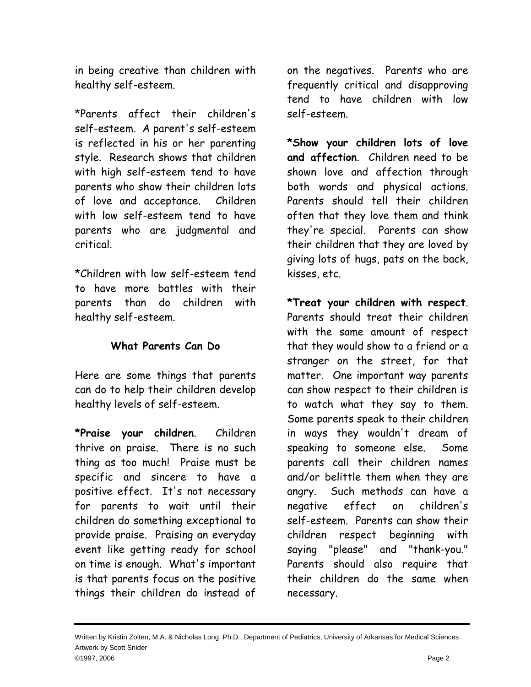in being creative than children with healthy self-esteem.

\*Parents affect their children's self-esteem. A parent's self-esteem is reflected in his or her parenting style. Research shows that children with high self-esteem tend to have parents who show their children lots of love and acceptance. Children with low self-esteem tend to have parents who are judgmental and critical.

\*Children with low self-esteem tend to have more battles with their parents than do children with healthy self-esteem.

## **What Parents Can Do**

Here are some things that parents can do to help their children develop healthy levels of self-esteem.

**\*Praise your children**. Children thrive on praise. There is no such thing as too much! Praise must be specific and sincere to have a positive effect. It's not necessary for parents to wait until their children do something exceptional to provide praise. Praising an everyday event like getting ready for school on time is enough. What's important is that parents focus on the positive things their children do instead of

on the negatives. Parents who are frequently critical and disapproving tend to have children with low self-esteem.

**\*Show your children lots of love and affection**. Children need to be shown love and affection through both words and physical actions. Parents should tell their children often that they love them and think they're special. Parents can show their children that they are loved by giving lots of hugs, pats on the back, kisses, etc.

**\*Treat your children with respect**. Parents should treat their children with the same amount of respect that they would show to a friend or a stranger on the street, for that matter. One important way parents can show respect to their children is to watch what they say to them. Some parents speak to their children in ways they wouldn't dream of speaking to someone else. Some parents call their children names and/or belittle them when they are angry. Such methods can have a negative effect on children's self-esteem. Parents can show their children respect beginning with saying "please" and "thank-you." Parents should also require that their children do the same when necessary.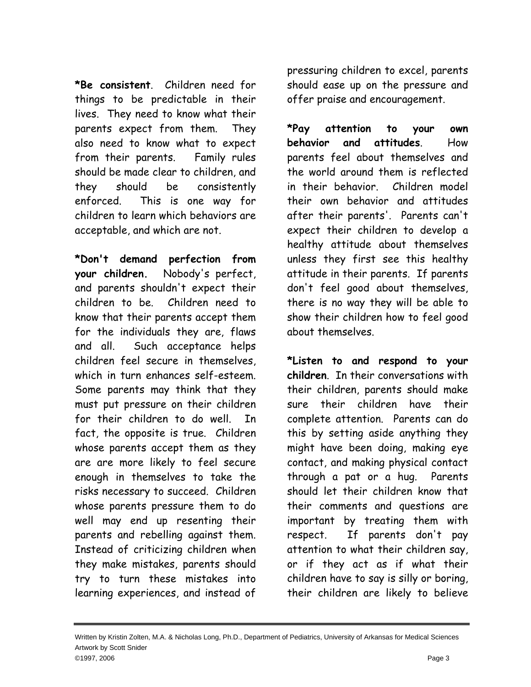**\*Be consistent**. Children need for things to be predictable in their lives. They need to know what their parents expect from them. They also need to know what to expect from their parents. Family rules should be made clear to children, and they should be consistently enforced. This is one way for children to learn which behaviors are acceptable, and which are not.

**\*Don't demand perfection from your children.** Nobody's perfect, and parents shouldn't expect their children to be. Children need to know that their parents accept them for the individuals they are, flaws and all. Such acceptance helps children feel secure in themselves, which in turn enhances self-esteem. Some parents may think that they must put pressure on their children for their children to do well. In fact, the opposite is true. Children whose parents accept them as they are are more likely to feel secure enough in themselves to take the risks necessary to succeed. Children whose parents pressure them to do well may end up resenting their parents and rebelling against them. Instead of criticizing children when they make mistakes, parents should try to turn these mistakes into learning experiences, and instead of

pressuring children to excel, parents should ease up on the pressure and offer praise and encouragement.

**\*Pay attention to your own behavior and attitudes**. How parents feel about themselves and the world around them is reflected in their behavior. Children model their own behavior and attitudes after their parents'. Parents can't expect their children to develop a healthy attitude about themselves unless they first see this healthy attitude in their parents. If parents don't feel good about themselves, there is no way they will be able to show their children how to feel good about themselves.

**\*Listen to and respond to your children**. In their conversations with their children, parents should make sure their children have their complete attention. Parents can do this by setting aside anything they might have been doing, making eye contact, and making physical contact through a pat or a hug. Parents should let their children know that their comments and questions are important by treating them with respect. If parents don't pay attention to what their children say, or if they act as if what their children have to say is silly or boring, their children are likely to believe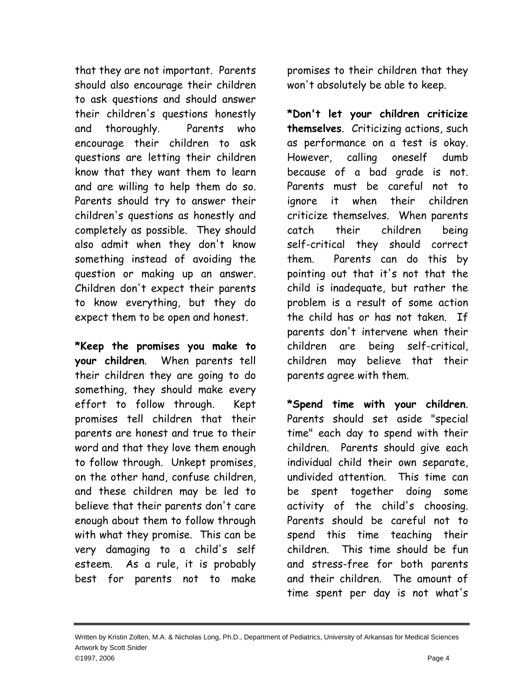that they are not important. Parents should also encourage their children to ask questions and should answer their children's questions honestly and thoroughly. Parents who encourage their children to ask questions are letting their children know that they want them to learn and are willing to help them do so. Parents should try to answer their children's questions as honestly and completely as possible. They should also admit when they don't know something instead of avoiding the question or making up an answer. Children don't expect their parents to know everything, but they do expect them to be open and honest.

**\*Keep the promises you make to your children**. When parents tell their children they are going to do something, they should make every effort to follow through. Kept promises tell children that their parents are honest and true to their word and that they love them enough to follow through. Unkept promises, on the other hand, confuse children, and these children may be led to believe that their parents don't care enough about them to follow through with what they promise. This can be very damaging to a child's self esteem. As a rule, it is probably best for parents not to make

promises to their children that they won't absolutely be able to keep.

**\*Don't let your children criticize themselves**. Criticizing actions, such as performance on a test is okay. However, calling oneself dumb because of a bad grade is not. Parents must be careful not to ignore it when their children criticize themselves. When parents catch their children being self-critical they should correct them. Parents can do this by pointing out that it's not that the child is inadequate, but rather the problem is a result of some action the child has or has not taken. If parents don't intervene when their children are being self-critical, children may believe that their parents agree with them.

**\*Spend time with your children**. Parents should set aside "special time" each day to spend with their children. Parents should give each individual child their own separate, undivided attention. This time can be spent together doing some activity of the child's choosing. Parents should be careful not to spend this time teaching their children. This time should be fun and stress-free for both parents and their children. The amount of time spent per day is not what's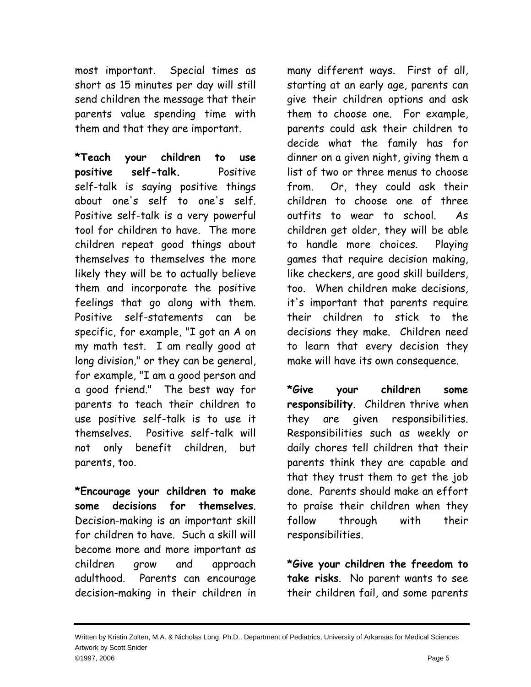most important. Special times as short as 15 minutes per day will still send children the message that their parents value spending time with them and that they are important.

**\*Teach your children to use positive self-talk.** Positive self-talk is saying positive things about one's self to one's self. Positive self-talk is a very powerful tool for children to have. The more children repeat good things about themselves to themselves the more likely they will be to actually believe them and incorporate the positive feelings that go along with them. Positive self-statements can be specific, for example, "I got an A on my math test. I am really good at long division," or they can be general, for example, "I am a good person and a good friend." The best way for parents to teach their children to use positive self-talk is to use it themselves. Positive self-talk will not only benefit children, but parents, too.

**\*Encourage your children to make some decisions for themselves**. Decision-making is an important skill for children to have. Such a skill will become more and more important as children grow and approach adulthood. Parents can encourage decision-making in their children in

many different ways. First of all, starting at an early age, parents can give their children options and ask them to choose one. For example, parents could ask their children to decide what the family has for dinner on a given night, giving them a list of two or three menus to choose from. Or, they could ask their children to choose one of three outfits to wear to school. As children get older, they will be able to handle more choices. Playing games that require decision making, like checkers, are good skill builders, too. When children make decisions, it's important that parents require their children to stick to the decisions they make. Children need to learn that every decision they make will have its own consequence.

**\*Give your children some responsibility**. Children thrive when they are given responsibilities. Responsibilities such as weekly or daily chores tell children that their parents think they are capable and that they trust them to get the job done. Parents should make an effort to praise their children when they follow through with their responsibilities.

**\*Give your children the freedom to take risks**. No parent wants to see their children fail, and some parents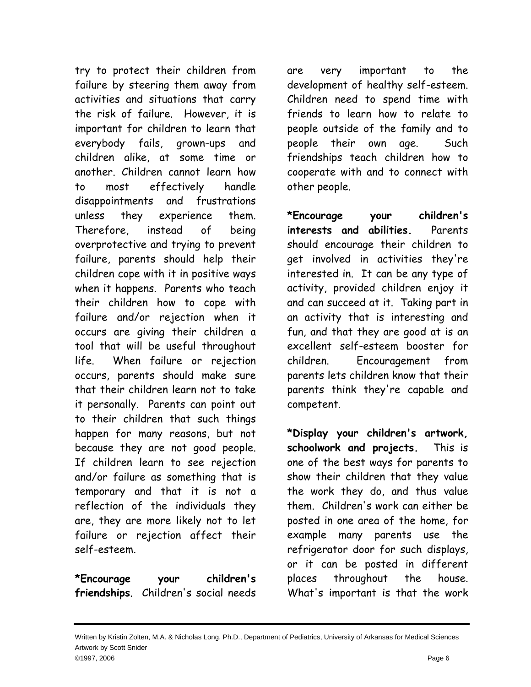try to protect their children from failure by steering them away from activities and situations that carry the risk of failure. However, it is important for children to learn that everybody fails, grown-ups and children alike, at some time or another. Children cannot learn how to most effectively handle disappointments and frustrations unless they experience them. Therefore, instead of being overprotective and trying to prevent failure, parents should help their children cope with it in positive ways when it happens. Parents who teach their children how to cope with failure and/or rejection when it occurs are giving their children a tool that will be useful throughout life. When failure or rejection occurs, parents should make sure that their children learn not to take it personally. Parents can point out to their children that such things happen for many reasons, but not because they are not good people. If children learn to see rejection and/or failure as something that is temporary and that it is not a reflection of the individuals they are, they are more likely not to let failure or rejection affect their self-esteem.

**\*Encourage your children's friendships**. Children's social needs are very important to the development of healthy self-esteem. Children need to spend time with friends to learn how to relate to people outside of the family and to people their own age. Such friendships teach children how to cooperate with and to connect with other people.

**\*Encourage your children's interests and abilities.** Parents should encourage their children to get involved in activities they're interested in. It can be any type of activity, provided children enjoy it and can succeed at it. Taking part in an activity that is interesting and fun, and that they are good at is an excellent self-esteem booster for children. Encouragement from parents lets children know that their parents think they're capable and competent.

**\*Display your children's artwork, schoolwork and projects.** This is one of the best ways for parents to show their children that they value the work they do, and thus value them. Children's work can either be posted in one area of the home, for example many parents use the refrigerator door for such displays, or it can be posted in different places throughout the house. What's important is that the work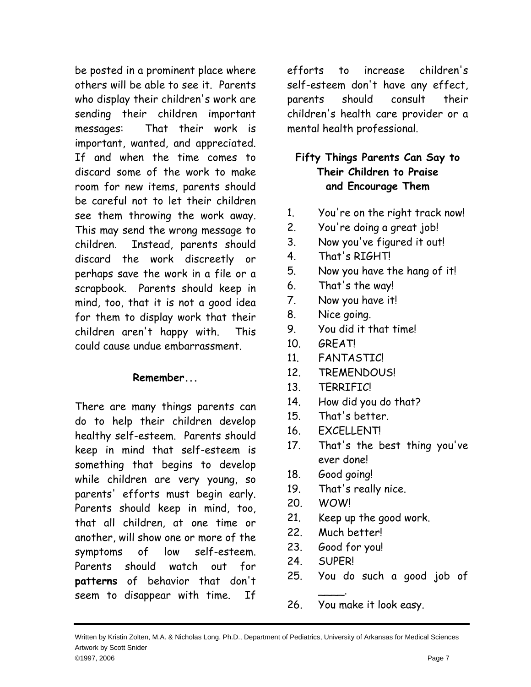be posted in a prominent place where others will be able to see it. Parents who display their children's work are sending their children important messages: That their work is important, wanted, and appreciated. If and when the time comes to discard some of the work to make room for new items, parents should be careful not to let their children see them throwing the work away. This may send the wrong message to children. Instead, parents should discard the work discreetly or perhaps save the work in a file or a scrapbook. Parents should keep in mind, too, that it is not a good idea for them to display work that their children aren't happy with. This could cause undue embarrassment.

## **Remember...**

There are many things parents can do to help their children develop healthy self-esteem. Parents should keep in mind that self-esteem is something that begins to develop while children are very young, so parents' efforts must begin early. Parents should keep in mind, too, that all children, at one time or another, will show one or more of the symptoms of low self-esteem. Parents should watch out for **patterns** of behavior that don't seem to disappear with time. If

efforts to increase children's self-esteem don't have any effect, parents should consult their children's health care provider or a mental health professional.

# **Fifty Things Parents Can Say to Their Children to Praise and Encourage Them**

- 1. You're on the right track now!
- 2. You're doing a great job!
- 3. Now you've figured it out!
- 4. That's RIGHT!
- 5. Now you have the hang of it!
- 6. That's the way!
- 7. Now you have it!
- 8. Nice going.
- 9. You did it that time!
- 10. GREAT!
- 11. FANTASTIC!
- 12. TREMENDOUS!
- 13. TERRIFIC!
- 14. How did you do that?
- 15. That's better.
- 16. EXCELLENT!
- 17. That's the best thing you've ever done!
- 18. Good going!
- 19. That's really nice.
- 20. WOW!
- 21. Keep up the good work.
- 22. Much better!
- 23. Good for you!

 $\overline{\phantom{a}}$ .

- 24. SUPER!
- 25. You do such a good job of
- 26. You make it look easy.